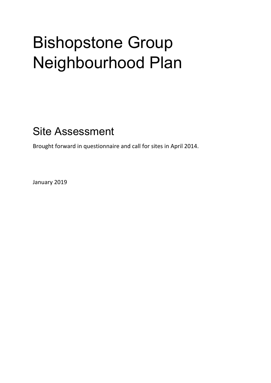## Bishopstone Group Neighbourhood Plan

Site Assessment

Brought forward in questionnaire and call for sites in April 2014.

January 2019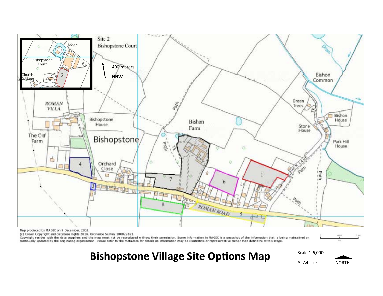

Map produced by MAGIC on 9 December, 2018.

(c) Crown Copyright and database rights 2018. Ordnance Survey 100022861.

Copyright resides with the data suppliers and the map must not be reproduced without their permission. Some information in MAGIC is a snapshot of the information that is being maintained or continually updated by the originating organisation. Please refer to the metadata for details as information may be illustrative or representative rather than definitive at this stage.

Bishopstone Village Site Options Map **SCALE 1:6,000 At A4 size** NORTH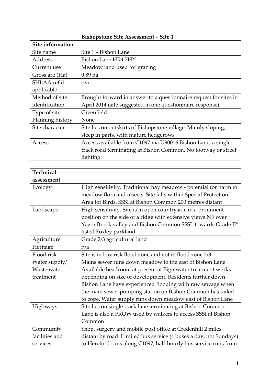|                  | <b>Bishopstone Site Assessment - Site 1</b>                       |
|------------------|-------------------------------------------------------------------|
| Site information |                                                                   |
| Site name        | Site 1 – Bishon Lane                                              |
| Address          | <b>Bishon Lane HR4 7HY</b>                                        |
| Current use      | Meadow land used for grazing                                      |
| Gross are (Ha)   | $0.89$ ha                                                         |
| SHLAA ref if     | n/a                                                               |
| applicable       |                                                                   |
| Method of site   | Brought forward in answer to a questionnaire request for sites in |
| identification   | April 2014 (site suggested in one questionnaire response)         |
| Type of site     | Greenfield                                                        |
| Planning history | None                                                              |
| Site character   | Site lies on outskirts of Bishopstone village. Mainly sloping,    |
|                  | steep in parts, with mature hedgerows                             |
| Access           | Access available from C1097 via U90016 Bishon Lane, a single      |
|                  | track road terminating at Bishon Common. No footway or street     |
|                  | lighting.                                                         |
|                  |                                                                   |
| Technical        |                                                                   |
| assessment       |                                                                   |
| Ecology          | High sensitivity. Traditional hay meadow - potential for harm to  |
|                  | meadow flora and insects. Site falls within Special Protection    |
|                  | Area for Birds. SSSI at Bishon Common 200 metres distant          |
| Landscape        | High sensitivity. Site is in open countryside in a prominent      |
|                  | position on the side of a ridge with extensive views NE over      |
|                  | Yazor Brook valley and Bishon Common SSSI. towards Grade II*      |
|                  | listed Foxley parkland                                            |
| Agriculture      | Grade 2/3 agricultural land                                       |
| Heritage         | n/a                                                               |
| Flood risk       | Site is in low risk flood zone and not in flood zone 2/3          |
| Water supply/    | Mains sewer runs down meadow to the east of Bishon Lane           |
| Waste water      | Available headroom at present at Eign water treatment works       |
| treatment        | depending on size of development. Residents further down          |
|                  | Bishon Lane have experienced flooding with raw sewage when        |
|                  | the main sewer pumping station on Bishon Common has failed        |
|                  | to cope. Water supply runs down meadow east of Bishon Lane        |
| <b>Highways</b>  | Site lies on single track lane terminating at Bishon Common.      |
|                  | Lane is also a PROW used by walkers to access SSSI at Bishon      |
|                  | Common                                                            |
| Community        | Shop, surgery and mobile post office at Credenhill 2 miles        |
| facilities and   | distant by road. Limited bus service (4 buses a day, not Sundays) |
| services         | to Hereford runs along C1097; half-hourly bus service runs from   |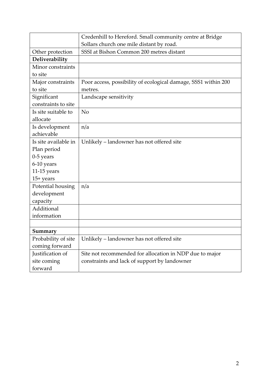|                      | Credenhill to Hereford. Small community centre at Bridge       |
|----------------------|----------------------------------------------------------------|
|                      | Sollars church one mile distant by road.                       |
| Other protection     | SSSI at Bishon Common 200 metres distant                       |
| Deliverability       |                                                                |
| Minor constraints    |                                                                |
| to site              |                                                                |
| Major constraints    | Poor access, possibility of ecological damage, SSS1 within 200 |
| to site              | metres.                                                        |
| Significant          | Landscape sensitivity                                          |
| constraints to site  |                                                                |
| Is site suitable to  | No                                                             |
| allocate             |                                                                |
| Is development       | n/a                                                            |
| achievable           |                                                                |
| Is site available in | Unlikely – landowner has not offered site                      |
| Plan period          |                                                                |
| $0-5$ years          |                                                                |
| 6-10 years           |                                                                |
| $11-15$ years        |                                                                |
| $15+$ years          |                                                                |
| Potential housing    | n/a                                                            |
| development          |                                                                |
| capacity             |                                                                |
| Additional           |                                                                |
| information          |                                                                |
|                      |                                                                |
| Summary              |                                                                |
| Probability of site  | Unlikely - landowner has not offered site                      |
| coming forward       |                                                                |
| Justification of     | Site not recommended for allocation in NDP due to major        |
| site coming          | constraints and lack of support by landowner                   |
| forward              |                                                                |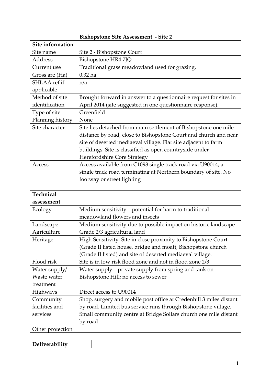|                  | <b>Bishopstone Site Assessment - Site 2</b>                                                                                         |
|------------------|-------------------------------------------------------------------------------------------------------------------------------------|
| Site information |                                                                                                                                     |
| Site name        | Site 2 - Bishopstone Court                                                                                                          |
| Address          | Bishopstone HR4 7JQ                                                                                                                 |
| Current use      | Traditional grass meadowland used for grazing.                                                                                      |
| Gross are (Ha)   | $0.32$ ha                                                                                                                           |
| SHLAA ref if     | n/a                                                                                                                                 |
| applicable       |                                                                                                                                     |
| Method of site   | Brought forward in answer to a questionnaire request for sites in                                                                   |
| identification   | April 2014 (site suggested in one questionnaire response).                                                                          |
| Type of site     | Greenfield                                                                                                                          |
| Planning history | None                                                                                                                                |
| Site character   | Site lies detached from main settlement of Bishopstone one mile<br>distance by road, close to Bishopstone Court and church and near |
|                  | site of deserted mediaeval village. Flat site adjacent to farm                                                                      |
|                  | buildings. Site is classified as open countryside under                                                                             |
|                  | <b>Herefordshire Core Strategy</b>                                                                                                  |
| Access           | Access available from C1098 single track road via U90014, a                                                                         |
|                  | single track road terminating at Northern boundary of site. No                                                                      |
|                  | footway or street lighting                                                                                                          |
|                  |                                                                                                                                     |
| Technical        |                                                                                                                                     |
| assessment       |                                                                                                                                     |
| Ecology          | Medium sensitivity - potential for harm to traditional                                                                              |
|                  | meadowland flowers and insects                                                                                                      |
| Landscape        | Medium sensitivity due to possible impact on historic landscape                                                                     |
| Agriculture      | Grade 2/3 agricultural land                                                                                                         |
| Heritage         | High Sensitivity. Site in close proximity to Bishopstone Court                                                                      |
|                  | (Grade II listed house, bridge and moat), Bishopstone church                                                                        |
|                  | (Grade II listed) and site of deserted mediaeval village.                                                                           |
| Flood risk       | Site is in low risk flood zone and not in flood zone 2/3                                                                            |
| Water supply/    | Water supply – private supply from spring and tank on                                                                               |
| Waste water      | Bishopstone Hill; no access to sewer                                                                                                |
| treatment        |                                                                                                                                     |
| Highways         | Direct access to U90014                                                                                                             |
| Community        | Shop, surgery and mobile post office at Credenhill 3 miles distant                                                                  |
| facilities and   | by road. Limited bus service runs through Bishopstone village.                                                                      |
| services         | Small community centre at Bridge Sollars church one mile distant                                                                    |
|                  | by road                                                                                                                             |
| Other protection |                                                                                                                                     |

| $\cdots$<br>$\mathbf{D}$<br>------<br>Lucilvela.<br>лпг |  |
|---------------------------------------------------------|--|
|                                                         |  |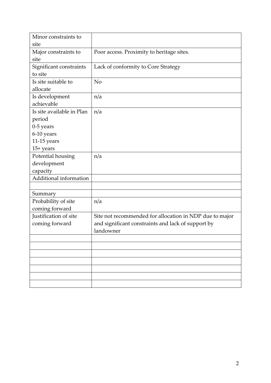| Minor constraints to      |                                                         |
|---------------------------|---------------------------------------------------------|
| site                      |                                                         |
| Major constraints to      | Poor access. Proximity to heritage sites.               |
| site                      |                                                         |
| Significant constraints   | Lack of conformity to Core Strategy                     |
| to site                   |                                                         |
| Is site suitable to       | N <sub>o</sub>                                          |
| allocate                  |                                                         |
| Is development            | n/a                                                     |
| achievable                |                                                         |
| Is site available in Plan | n/a                                                     |
| period                    |                                                         |
| $0-5$ years               |                                                         |
| 6-10 years                |                                                         |
| $11-15$ years             |                                                         |
| $15+ years$               |                                                         |
| Potential housing         | n/a                                                     |
| development               |                                                         |
| capacity                  |                                                         |
| Additional information    |                                                         |
|                           |                                                         |
| Summary                   |                                                         |
| Probability of site       | n/a                                                     |
| coming forward            |                                                         |
| Justification of site     | Site not recommended for allocation in NDP due to major |
| coming forward            | and significant constraints and lack of support by      |
|                           | landowner                                               |
|                           |                                                         |
|                           |                                                         |
|                           |                                                         |
|                           |                                                         |
|                           |                                                         |
|                           |                                                         |
|                           |                                                         |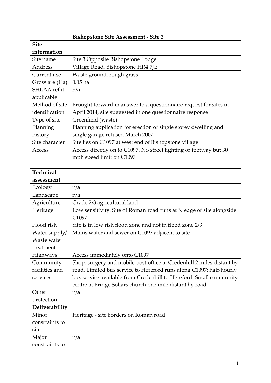|                | <b>Bishopstone Site Assessment - Site 3</b>                           |
|----------------|-----------------------------------------------------------------------|
| <b>Site</b>    |                                                                       |
| information    |                                                                       |
| Site name      | Site 3 Opposite Bishopstone Lodge                                     |
| <b>Address</b> | Village Road, Bishopstone HR4 7JE                                     |
| Current use    | Waste ground, rough grass                                             |
| Gross are (Ha) | $0.05$ ha                                                             |
| SHLAA ref if   | n/a                                                                   |
| applicable     |                                                                       |
| Method of site | Brought forward in answer to a questionnaire request for sites in     |
| identification | April 2014, site suggested in one questionnaire response              |
| Type of site   | Greenfield (waste)                                                    |
| Planning       | Planning application for erection of single storey dwelling and       |
| history        | single garage refused March 2007.                                     |
| Site character | Site lies on C1097 at west end of Bishopstone village                 |
| Access         | Access directly on to C1097. No street lighting or footway but 30     |
|                | mph speed limit on C1097                                              |
|                |                                                                       |
| Technical      |                                                                       |
| assessment     |                                                                       |
| Ecology        | n/a                                                                   |
| Landscape      | n/a                                                                   |
| Agriculture    | Grade 2/3 agricultural land                                           |
| Heritage       | Low sensitivity. Site of Roman road runs at N edge of site alongside  |
|                | C1097                                                                 |
| Flood risk     | Site is in low risk flood zone and not in flood zone 2/3              |
| Water supply/  | Mains water and sewer on C1097 adjacent to site                       |
| Waste water    |                                                                       |
| treatment      |                                                                       |
| Highways       | Access immediately onto C1097                                         |
| Community      | Shop, surgery and mobile post office at Credenhill 2 miles distant by |
| facilities and | road. Limited bus service to Hereford runs along C1097; half-hourly   |
| services       | bus service available from Credenhill to Hereford. Small community    |
|                | centre at Bridge Sollars church one mile distant by road.             |
| Other          | n/a                                                                   |
| protection     |                                                                       |
| Deliverability |                                                                       |
| Minor          | Heritage - site borders on Roman road                                 |
| constraints to |                                                                       |
| site           |                                                                       |
| Major          | n/a                                                                   |
| constraints to |                                                                       |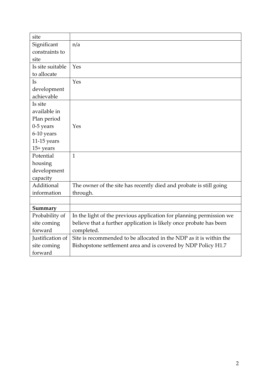| site             |                                                                     |
|------------------|---------------------------------------------------------------------|
| Significant      | n/a                                                                 |
| constraints to   |                                                                     |
| site             |                                                                     |
| Is site suitable | Yes                                                                 |
| to allocate      |                                                                     |
| <b>Is</b>        | Yes                                                                 |
| development      |                                                                     |
| achievable       |                                                                     |
| Is site          |                                                                     |
| available in     |                                                                     |
| Plan period      |                                                                     |
| $0-5$ years      | Yes                                                                 |
| 6-10 years       |                                                                     |
| $11-15$ years    |                                                                     |
| $15+$ years      |                                                                     |
| Potential        | $\mathbf{1}$                                                        |
| housing          |                                                                     |
| development      |                                                                     |
| capacity         |                                                                     |
| Additional       | The owner of the site has recently died and probate is still going  |
| information      | through.                                                            |
|                  |                                                                     |
| Summary          |                                                                     |
| Probability of   | In the light of the previous application for planning permission we |
| site coming      | believe that a further application is likely once probate has been  |
| forward          | completed.                                                          |
| Justification of | Site is recommended to be allocated in the NDP as it is within the  |
| site coming      | Bishopstone settlement area and is covered by NDP Policy H1.7       |
| forward          |                                                                     |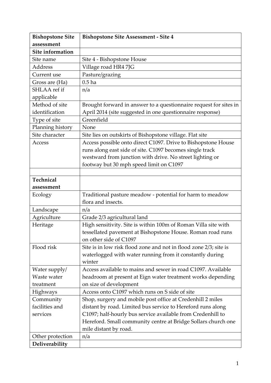| <b>Bishopstone Site</b> | <b>Bishopstone Site Assessment - Site 4</b>                       |
|-------------------------|-------------------------------------------------------------------|
| assessment              |                                                                   |
| Site information        |                                                                   |
| Site name               | Site 4 - Bishopstone House                                        |
| <b>Address</b>          | Village road HR4 7JG                                              |
| Current use             | Pasture/grazing                                                   |
| Gross are (Ha)          | 0.5 <sub>ha</sub>                                                 |
| SHLAA ref if            | n/a                                                               |
| applicable              |                                                                   |
| Method of site          | Brought forward in answer to a questionnaire request for sites in |
| identification          | April 2014 (site suggested in one questionnaire response)         |
| Type of site            | Greenfield                                                        |
| Planning history        | None                                                              |
| Site character          | Site lies on outskirts of Bishopstone village. Flat site          |
| Access                  | Access possible onto direct C1097. Drive to Bishopstone House     |
|                         | runs along east side of site. C1097 becomes single track          |
|                         | westward from junction with drive. No street lighting or          |
|                         | footway but 30 mph speed limit on C1097                           |
|                         |                                                                   |
| Technical               |                                                                   |
| assessment              |                                                                   |
| Ecology                 | Traditional pasture meadow - potential for harm to meadow         |
|                         | flora and insects.                                                |
| Landscape               | n/a                                                               |
| Agriculture             | Grade 2/3 agricultural land                                       |
| Heritage                | High sensitivity. Site is within 100m of Roman Villa site with    |
|                         | tessellated pavement at Bishopstone House. Roman road runs        |
|                         | on other side of C1097                                            |
| Flood risk              | Site is in low risk flood zone and not in flood zone 2/3; site is |
|                         | waterlogged with water running from it constantly during          |
|                         | winter                                                            |
| Water supply/           | Access available to mains and sewer in road C1097. Available      |
| Waste water             | headroom at present at Eign water treatment works depending       |
| treatment               | on size of development                                            |
| <b>Highways</b>         | Access onto C1097 which runs on S side of site                    |
| Community               | Shop, surgery and mobile post office at Credenhill 2 miles        |
| facilities and          | distant by road. Limited bus service to Hereford runs along       |
| services                | C1097; half-hourly bus service available from Credenhill to       |
|                         | Hereford. Small community centre at Bridge Sollars church one     |
|                         | mile distant by road.                                             |
| Other protection        | n/a                                                               |
| Deliverability          |                                                                   |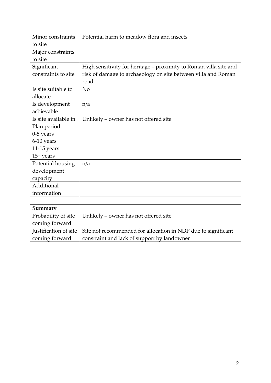| Minor constraints     | Potential harm to meadow flora and insects                        |
|-----------------------|-------------------------------------------------------------------|
| to site               |                                                                   |
| Major constraints     |                                                                   |
| to site               |                                                                   |
| Significant           | High sensitivity for heritage – proximity to Roman villa site and |
| constraints to site   | risk of damage to archaeology on site between villa and Roman     |
|                       | road                                                              |
| Is site suitable to   | N <sub>o</sub>                                                    |
| allocate              |                                                                   |
| Is development        | n/a                                                               |
| achievable            |                                                                   |
| Is site available in  | Unlikely – owner has not offered site                             |
| Plan period           |                                                                   |
| $0-5$ years           |                                                                   |
| 6-10 years            |                                                                   |
| $11-15$ years         |                                                                   |
| $15+$ years           |                                                                   |
| Potential housing     | n/a                                                               |
| development           |                                                                   |
| capacity              |                                                                   |
| Additional            |                                                                   |
| information           |                                                                   |
|                       |                                                                   |
| Summary               |                                                                   |
| Probability of site   | Unlikely - owner has not offered site                             |
| coming forward        |                                                                   |
| Justification of site | Site not recommended for allocation in NDP due to significant     |
| coming forward        | constraint and lack of support by landowner                       |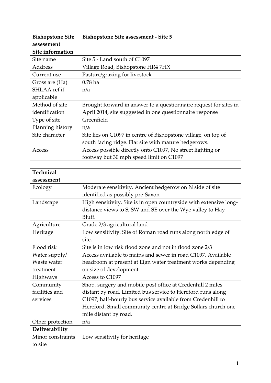| <b>Bishopstone Site</b> | <b>Bishopstone Site assessment - Site 5</b>                        |
|-------------------------|--------------------------------------------------------------------|
| assessment              |                                                                    |
| Site information        |                                                                    |
| Site name               | Site 5 - Land south of C1097                                       |
| Address                 | Village Road, Bishopstone HR4 7HX                                  |
| Current use             | Pasture/grazing for livestock                                      |
| Gross are (Ha)          | $0.78$ ha                                                          |
| SHLAA ref if            | n/a                                                                |
| applicable              |                                                                    |
| Method of site          | Brought forward in answer to a questionnaire request for sites in  |
| identification          | April 2014, site suggested in one questionnaire response           |
| Type of site            | Greenfield                                                         |
| Planning history        | n/a                                                                |
| Site character          | Site lies on C1097 in centre of Bishopstone village, on top of     |
|                         | south facing ridge. Flat site with mature hedgerows.               |
| Access                  | Access possible directly onto C1097, No street lighting or         |
|                         | footway but 30 mph speed limit on C1097                            |
|                         |                                                                    |
| Technical               |                                                                    |
| assessment              |                                                                    |
| Ecology                 | Moderate sensitivity. Ancient hedgerow on N side of site           |
|                         | identified as possibly pre-Saxon                                   |
| Landscape               | High sensitivity. Site is in open countryside with extensive long- |
|                         | distance views to S, SW and SE over the Wye valley to Hay          |
|                         | Bluff.                                                             |
| Agriculture             | Grade 2/3 agricultural land                                        |
| Heritage                | Low sensitivity. Site of Roman road runs along north edge of       |
|                         | site.                                                              |
| Flood risk              | Site is in low risk flood zone and not in flood zone 2/3           |
| Water supply/           | Access available to mains and sewer in road C1097. Available       |
| Waste water             | headroom at present at Eign water treatment works depending        |
| treatment               | on size of development                                             |
| Highways                | Access to C1097                                                    |
| Community               | Shop, surgery and mobile post office at Credenhill 2 miles         |
| facilities and          | distant by road. Limited bus service to Hereford runs along        |
| services                | C1097; half-hourly bus service available from Credenhill to        |
|                         | Hereford. Small community centre at Bridge Sollars church one      |
|                         | mile distant by road.                                              |
| Other protection        | n/a                                                                |
| Deliverability          |                                                                    |
| Minor constraints       | Low sensitivity for heritage                                       |
| to site                 |                                                                    |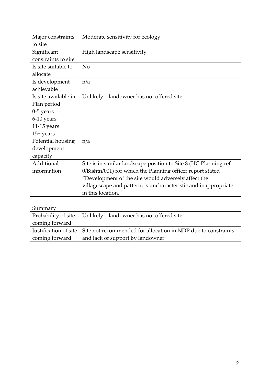| Major constraints     | Moderate sensitivity for ecology                                 |
|-----------------------|------------------------------------------------------------------|
| to site               |                                                                  |
| Significant           | High landscape sensitivity                                       |
| constraints to site   |                                                                  |
| Is site suitable to   | No                                                               |
| allocate              |                                                                  |
| Is development        | n/a                                                              |
| achievable            |                                                                  |
| Is site available in  | Unlikely - landowner has not offered site                        |
| Plan period           |                                                                  |
| $0-5$ years           |                                                                  |
| 6-10 years            |                                                                  |
| $11-15$ years         |                                                                  |
| $15+$ years           |                                                                  |
| Potential housing     | n/a                                                              |
| development           |                                                                  |
| capacity              |                                                                  |
| Additional            | Site is in similar landscape position to Site 8 (HC Planning ref |
| information           | 0/Bishtn/001) for which the Planning officer report stated       |
|                       | "Development of the site would adversely affect the              |
|                       | villagescape and pattern, is uncharacteristic and inappropriate  |
|                       | in this location."                                               |
|                       |                                                                  |
| Summary               |                                                                  |
| Probability of site   | Unlikely - landowner has not offered site                        |
| coming forward        |                                                                  |
| Justification of site | Site not recommended for allocation in NDP due to constraints    |
| coming forward        | and lack of support by landowner                                 |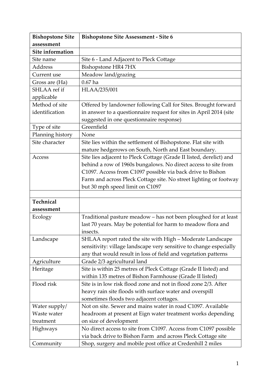| <b>Bishopstone Site</b> | <b>Bishopstone Site Assessment - Site 6</b>                         |
|-------------------------|---------------------------------------------------------------------|
| assessment              |                                                                     |
| Site information        |                                                                     |
| Site name               | Site 6 - Land Adjacent to Pleck Cottage                             |
| <b>Address</b>          | Bishopstone HR4 7HX                                                 |
| Current use             | Meadow land/grazing                                                 |
| Gross are (Ha)          | $0.67$ ha                                                           |
| SHLAA ref if            | HLAA/235/001                                                        |
| applicable              |                                                                     |
| Method of site          | Offered by landowner following Call for Sites. Brought forward      |
| identification          | in answer to a questionnaire request for sites in April 2014 (site  |
|                         | suggested in one questionnaire response)                            |
| Type of site            | Greenfield                                                          |
| Planning history        | None                                                                |
| Site character          | Site lies within the settlement of Bishopstone. Flat site with      |
|                         | mature hedgerows on South, North and East boundary.                 |
| Access                  | Site lies adjacent to Pleck Cottage (Grade II listed, derelict) and |
|                         | behind a row of 1960s bungalows. No direct access to site from      |
|                         | C1097. Access from C1097 possible via back drive to Bishon          |
|                         | Farm and across Pleck Cottage site. No street lighting or footway   |
|                         | but 30 mph speed limit on C1097                                     |
|                         |                                                                     |
| Technical               |                                                                     |
| assessment              |                                                                     |
| Ecology                 | Traditional pasture meadow - has not been ploughed for at least     |
|                         | last 70 years. May be potential for harm to meadow flora and        |
|                         | insects.                                                            |
| Landscape               | SHLAA report rated the site with High - Moderate Landscape          |
|                         | sensitivity: village landscape very sensitive to change especially  |
|                         | any that would result in loss of field and vegetation patterns      |
| Agriculture             | Grade 2/3 agricultural land                                         |
| Heritage                | Site is within 25 metres of Pleck Cottage (Grade II listed) and     |
|                         | within 135 metres of Bishon Farmhouse (Grade II listed)             |
| Flood risk              | Site is in low risk flood zone and not in flood zone 2/3. After     |
|                         | heavy rain site floods with surface water and overspill             |
|                         | sometimes floods two adjacent cottages.                             |
| Water supply/           | Not on site. Sewer and mains water in road C1097. Available         |
| Waste water             | headroom at present at Eign water treatment works depending         |
| treatment               | on size of development                                              |
| Highways                | No direct access to site from C1097. Access from C1097 possible     |
|                         | via back drive to Bishon Farm and across Pleck Cottage site         |
| Community               | Shop, surgery and mobile post office at Credenhill 2 miles          |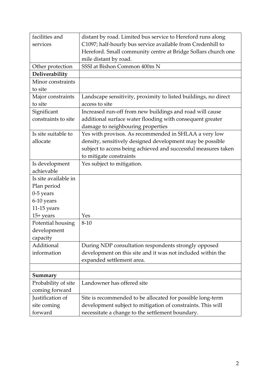| facilities and       | distant by road. Limited bus service to Hereford runs along     |
|----------------------|-----------------------------------------------------------------|
| services             | C1097; half-hourly bus service available from Credenhill to     |
|                      | Hereford. Small community centre at Bridge Sollars church one   |
|                      | mile distant by road.                                           |
| Other protection     | SSSI at Bishon Common 400m N                                    |
| Deliverability       |                                                                 |
| Minor constraints    |                                                                 |
| to site              |                                                                 |
| Major constraints    | Landscape sensitivity, proximity to listed buildings, no direct |
| to site              | access to site                                                  |
| Significant          | Increased run-off from new buildings and road will cause        |
| constraints to site  | additional surface water flooding with consequent greater       |
|                      | damage to neighbouring properties                               |
| Is site suitable to  | Yes with provisos. As recommended in SHLAA a very low           |
| allocate             | density, sensitively designed development may be possible       |
|                      | subject to access being achieved and successful measures taken  |
|                      | to mitigate constraints                                         |
| Is development       | Yes subject to mitigation.                                      |
| achievable           |                                                                 |
| Is site available in |                                                                 |
| Plan period          |                                                                 |
| $0-5$ years          |                                                                 |
| 6-10 years           |                                                                 |
| $11-15$ years        |                                                                 |
| $15+ years$          | Yes                                                             |
| Potential housing    | $8 - 10$                                                        |
| development          |                                                                 |
| capacity             |                                                                 |
| Additional           | During NDP consultation respondents strongly opposed            |
| information          | development on this site and it was not included within the     |
|                      | expanded settlement area.                                       |
|                      |                                                                 |
| Summary              |                                                                 |
| Probability of site  | Landowner has offered site                                      |
| coming forward       |                                                                 |
| Justification of     | Site is recommended to be allocated for possible long-term      |
| site coming          | development subject to mitigation of constraints. This will     |
| forward              | necessitate a change to the settlement boundary.                |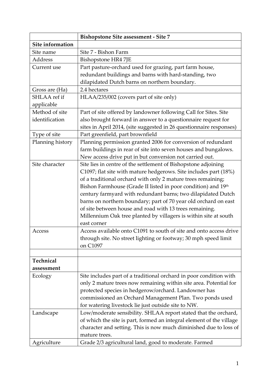|                  | <b>Bishopstone Site assessment - Site 7</b>                          |
|------------------|----------------------------------------------------------------------|
| Site information |                                                                      |
| Site name        | Site 7 - Bishon Farm                                                 |
| Address          | Bishopstone HR4 7JE                                                  |
| Current use      | Part pasture-orchard used for grazing, part farm house,              |
|                  | redundant buildings and barns with hard-standing, two                |
|                  | dilapidated Dutch barns on northern boundary.                        |
| Gross are (Ha)   | 2.4 hectares                                                         |
| SHLAA ref if     | HLAA/235/002 (covers part of site only)                              |
| applicable       |                                                                      |
| Method of site   | Part of site offered by landowner following Call for Sites. Site     |
| identification   | also brought forward in answer to a questionnaire request for        |
|                  | sites in April 2014, (site suggested in 26 questionnaire responses)  |
| Type of site     | Part greenfield, part brownfield                                     |
| Planning history | Planning permission granted 2006 for conversion of redundant         |
|                  | farm buildings in rear of site into seven houses and bungalows.      |
|                  | New access drive put in but conversion not carried out.              |
| Site character   | Site lies in centre of the settlement of Bishopstone adjoining       |
|                  | C1097; flat site with mature hedgerows. Site includes part (18%)     |
|                  | of a traditional orchard with only 2 mature trees remaining;         |
|                  | Bishon Farmhouse (Grade II listed in poor condition) and 19th        |
|                  | century farmyard with redundant barns; two dilapidated Dutch         |
|                  | barns on northern boundary; part of 70 year old orchard on east      |
|                  | of site between house and road with 13 trees remaining.              |
|                  | Millennium Oak tree planted by villagers is within site at south     |
|                  | east corner                                                          |
| Access           | Access available onto C1091 to south of site and onto access drive   |
|                  | through site. No street lighting or footway; 30 mph speed limit      |
|                  | on C1097                                                             |
|                  |                                                                      |
| Technical        |                                                                      |
| assessment       |                                                                      |
| Ecology          | Site includes part of a traditional orchard in poor condition with   |
|                  | only 2 mature trees now remaining within site area. Potential for    |
|                  | protected species in hedgerow/orchard. Landowner has                 |
|                  | commissioned an Orchard Management Plan. Two ponds used              |
|                  | for watering livestock lie just outside site to NW.                  |
| Landscape        | Low/moderate sensibility. SHLAA report stated that the orchard,      |
|                  | of which the site is part, formed an integral element of the village |
|                  | character and setting. This is now much diminished due to loss of    |
|                  | mature trees.                                                        |
| Agriculture      | Grade 2/3 agricultural land, good to moderate. Farmed                |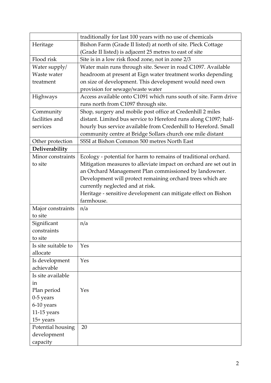|                     | traditionally for last 100 years with no use of chemicals         |
|---------------------|-------------------------------------------------------------------|
| Heritage            | Bishon Farm (Grade II listed) at north of site. Pleck Cottage     |
|                     | (Grade II listed) is adjacent 25 metres to east of site           |
| Flood risk          | Site is in a low risk flood zone, not in zone 2/3                 |
| Water supply/       | Water main runs through site. Sewer in road C1097. Available      |
| Waste water         | headroom at present at Eign water treatment works depending       |
| treatment           | on size of development. This development would need own           |
|                     | provision for sewage/waste water                                  |
| Highways            | Access available onto C1091 which runs south of site. Farm drive  |
|                     | runs north from C1097 through site.                               |
| Community           | Shop, surgery and mobile post office at Credenhill 2 miles        |
| facilities and      | distant. Limited bus service to Hereford runs along C1097; half-  |
| services            | hourly bus service available from Credenhill to Hereford. Small   |
|                     | community centre at Bridge Sollars church one mile distant        |
| Other protection    | SSSI at Bishon Common 500 metres North East                       |
| Deliverability      |                                                                   |
| Minor constraints   | Ecology - potential for harm to remains of traditional orchard.   |
| to site             | Mitigation measures to alleviate impact on orchard are set out in |
|                     | an Orchard Management Plan commissioned by landowner.             |
|                     | Development will protect remaining orchard trees which are        |
|                     | currently neglected and at risk.                                  |
|                     | Heritage - sensitive development can mitigate effect on Bishon    |
|                     | farmhouse.                                                        |
| Major constraints   | n/a                                                               |
| to site             |                                                                   |
| Significant         | n/a                                                               |
| constraints         |                                                                   |
| to site             |                                                                   |
| Is site suitable to | Yes                                                               |
| allocate            |                                                                   |
| Is development      | Yes                                                               |
| achievable          |                                                                   |
| Is site available   |                                                                   |
|                     |                                                                   |
| in                  | Yes                                                               |
| Plan period         |                                                                   |
| $0-5$ years         |                                                                   |
| 6-10 years          |                                                                   |
| 11-15 years         |                                                                   |
| $15+$ years         |                                                                   |
| Potential housing   | 20                                                                |
| development         |                                                                   |
| capacity            |                                                                   |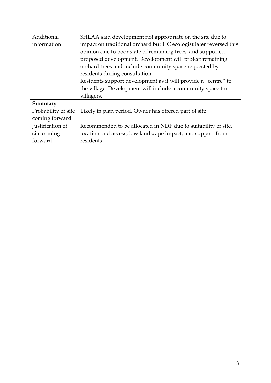| Additional          | SHLAA said development not appropriate on the site due to          |
|---------------------|--------------------------------------------------------------------|
| information         | impact on traditional orchard but HC ecologist later reversed this |
|                     | opinion due to poor state of remaining trees, and supported        |
|                     | proposed development. Development will protect remaining           |
|                     | orchard trees and include community space requested by             |
|                     | residents during consultation.                                     |
|                     | Residents support development as it will provide a "centre" to     |
|                     | the village. Development will include a community space for        |
|                     | villagers.                                                         |
| Summary             |                                                                    |
| Probability of site | Likely in plan period. Owner has offered part of site              |
| coming forward      |                                                                    |
| Justification of    | Recommended to be allocated in NDP due to suitability of site,     |
| site coming         | location and access, low landscape impact, and support from        |
| forward             | residents.                                                         |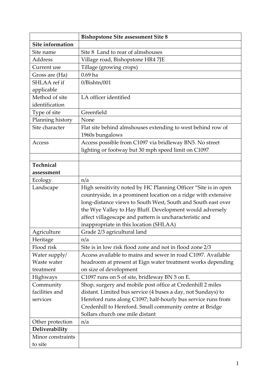|                   | <b>Bishopstone Site assessment Site 8</b>                      |
|-------------------|----------------------------------------------------------------|
| Site information  |                                                                |
| Site name         | Site 8 Land to rear of almshouses                              |
| Address           | Village road, Bishopstone HR4 7JE                              |
| Current use       | Tillage (growing crops)                                        |
| Gross are (Ha)    | $0.69$ ha                                                      |
| SHLAA ref if      | 0/Bishtn/001                                                   |
| applicable        |                                                                |
| Method of site    | LA officer identified                                          |
| identification    |                                                                |
| Type of site      | Greenfield                                                     |
| Planning history  | None                                                           |
| Site character    | Flat site behind almshouses extending to west behind row of    |
|                   | 1960s bungalows                                                |
| Access            | Access possible from C1097 via bridleway BN5. No street        |
|                   | lighting or footway but 30 mph speed limit on C1097            |
|                   |                                                                |
| Technical         |                                                                |
| assessment        |                                                                |
| Ecology           | n/a                                                            |
| Landscape         | High sensitivity noted by HC Planning Officer "Site is in open |
|                   | countryside, in a prominent location on a ridge with extensive |
|                   | long-distance views to South West, South and South east over   |
|                   | the Wye Valley to Hay Bluff. Development would adversely       |
|                   | affect villagescape and pattern is uncharacteristic and        |
|                   | inappropriate in this location (SHLAA)                         |
| Agriculture       | Grade 2/3 agricultural land                                    |
| Heritage          | n/a                                                            |
| Flood risk        | Site is in low risk flood zone and not in flood zone 2/3       |
| Water supply/     | Access available to mains and sewer in road C1097. Available   |
| Waste water       | headroom at present at Eign water treatment works depending    |
| treatment         | on size of development                                         |
| Highways          | C1097 runs on S of site, bridleway BN 5 on E.                  |
| Community         | Shop, surgery and mobile post office at Credenhill 2 miles     |
| facilities and    | distant. Limited bus service (4 buses a day, not Sundays) to   |
| services          | Hereford runs along C1097; half-hourly bus service runs from   |
|                   | Credenhill to Hereford. Small community centre at Bridge       |
|                   | Sollars church one mile distant                                |
| Other protection  | n/a                                                            |
| Deliverability    |                                                                |
| Minor constraints |                                                                |
| to site           |                                                                |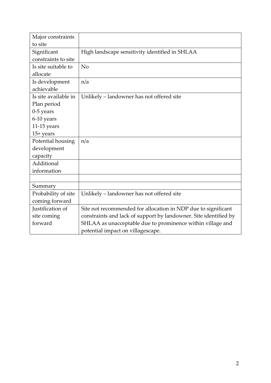| Major constraints    |                                                                  |
|----------------------|------------------------------------------------------------------|
| to site              |                                                                  |
| Significant          | High landscape sensitivity identified in SHLAA                   |
| constraints to site  |                                                                  |
| Is site suitable to  | No                                                               |
| allocate             |                                                                  |
| Is development       | n/a                                                              |
| achievable           |                                                                  |
| Is site available in | Unlikely - landowner has not offered site                        |
| Plan period          |                                                                  |
| $0-5$ years          |                                                                  |
| 6-10 years           |                                                                  |
| $11-15$ years        |                                                                  |
| $15+ years$          |                                                                  |
| Potential housing    | n/a                                                              |
| development          |                                                                  |
| capacity             |                                                                  |
| Additional           |                                                                  |
| information          |                                                                  |
|                      |                                                                  |
| Summary              |                                                                  |
| Probability of site  | Unlikely - landowner has not offered site                        |
| coming forward       |                                                                  |
| Justification of     | Site not recommended for allocation in NDP due to significant    |
| site coming          | constraints and lack of support by landowner. Site identified by |
| forward              | SHLAA as unacceptable due to prominence within village and       |
|                      | potential impact on villagescape.                                |